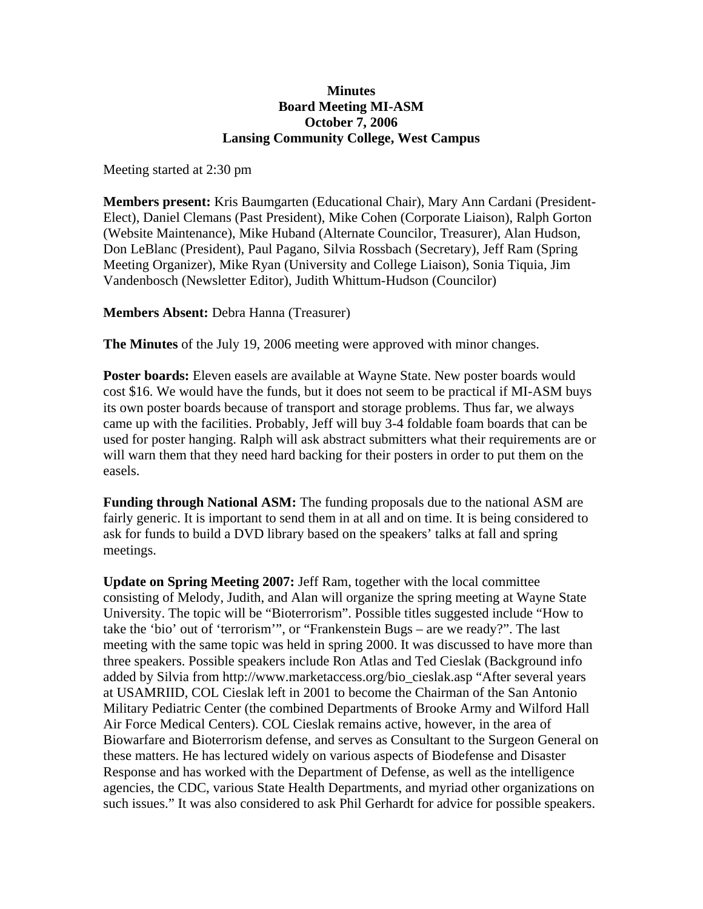## **Minutes Board Meeting MI-ASM October 7, 2006 Lansing Community College, West Campus**

Meeting started at 2:30 pm

**Members present:** Kris Baumgarten (Educational Chair), Mary Ann Cardani (President-Elect), Daniel Clemans (Past President), Mike Cohen (Corporate Liaison), Ralph Gorton (Website Maintenance), Mike Huband (Alternate Councilor, Treasurer), Alan Hudson, Don LeBlanc (President), Paul Pagano, Silvia Rossbach (Secretary), Jeff Ram (Spring Meeting Organizer), Mike Ryan (University and College Liaison), Sonia Tiquia, Jim Vandenbosch (Newsletter Editor), Judith Whittum-Hudson (Councilor)

**Members Absent:** Debra Hanna (Treasurer)

**The Minutes** of the July 19, 2006 meeting were approved with minor changes.

**Poster boards:** Eleven easels are available at Wayne State. New poster boards would cost \$16. We would have the funds, but it does not seem to be practical if MI-ASM buys its own poster boards because of transport and storage problems. Thus far, we always came up with the facilities. Probably, Jeff will buy 3-4 foldable foam boards that can be used for poster hanging. Ralph will ask abstract submitters what their requirements are or will warn them that they need hard backing for their posters in order to put them on the easels.

**Funding through National ASM:** The funding proposals due to the national ASM are fairly generic. It is important to send them in at all and on time. It is being considered to ask for funds to build a DVD library based on the speakers' talks at fall and spring meetings.

**Update on Spring Meeting 2007:** Jeff Ram, together with the local committee consisting of Melody, Judith, and Alan will organize the spring meeting at Wayne State University. The topic will be "Bioterrorism". Possible titles suggested include "How to take the 'bio' out of 'terrorism'", or "Frankenstein Bugs – are we ready?". The last meeting with the same topic was held in spring 2000. It was discussed to have more than three speakers. Possible speakers include Ron Atlas and Ted Cieslak (Background info added by Silvia from http://www.marketaccess.org/bio\_cieslak.asp "After several years at USAMRIID, COL Cieslak left in 2001 to become the Chairman of the San Antonio Military Pediatric Center (the combined Departments of Brooke Army and Wilford Hall Air Force Medical Centers). COL Cieslak remains active, however, in the area of Biowarfare and Bioterrorism defense, and serves as Consultant to the Surgeon General on these matters. He has lectured widely on various aspects of Biodefense and Disaster Response and has worked with the Department of Defense, as well as the intelligence agencies, the CDC, various State Health Departments, and myriad other organizations on such issues." It was also considered to ask Phil Gerhardt for advice for possible speakers.